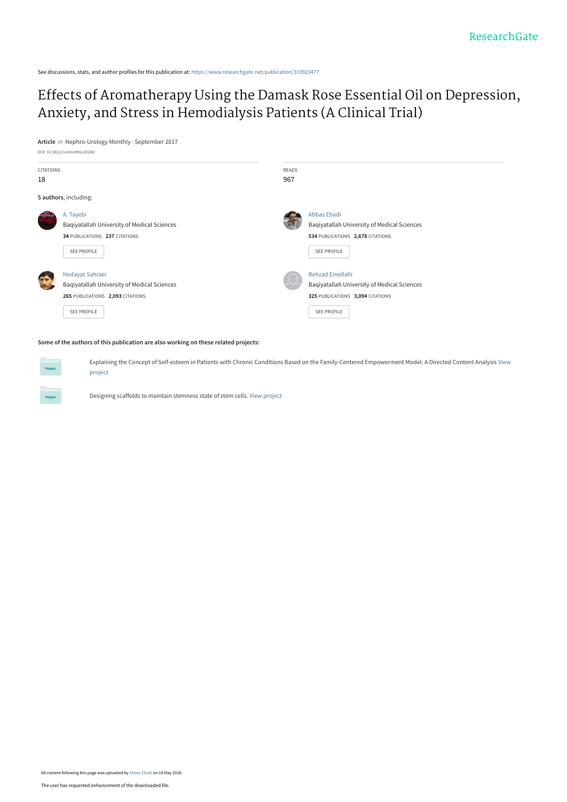See discussions, stats, and author profiles for this publication at: [https://www.researchgate.net/publication/319923477](https://www.researchgate.net/publication/319923477_Effects_of_Aromatherapy_Using_the_Damask_Rose_Essential_Oil_on_Depression_Anxiety_and_Stress_in_Hemodialysis_Patients_A_Clinical_Trial?enrichId=rgreq-b9b1d7bf78f367fa37a9e7cd9a476c98-XXX&enrichSource=Y292ZXJQYWdlOzMxOTkyMzQ3NztBUzo2Mjc1NDQyOTg2NDc1NTdAMTUyNjYyOTYyODI1Mg%3D%3D&el=1_x_2&_esc=publicationCoverPdf)

## [Effects of Aromatherapy Using the Damask Rose Essential Oil on Depression,](https://www.researchgate.net/publication/319923477_Effects_of_Aromatherapy_Using_the_Damask_Rose_Essential_Oil_on_Depression_Anxiety_and_Stress_in_Hemodialysis_Patients_A_Clinical_Trial?enrichId=rgreq-b9b1d7bf78f367fa37a9e7cd9a476c98-XXX&enrichSource=Y292ZXJQYWdlOzMxOTkyMzQ3NztBUzo2Mjc1NDQyOTg2NDc1NTdAMTUyNjYyOTYyODI1Mg%3D%3D&el=1_x_3&_esc=publicationCoverPdf) Anxiety, and Stress in Hemodialysis Patients (A Clinical Trial)

**Article** in Nephro-Urology Monthly · September 2017



#### **Some of the authors of this publication are also working on these related projects:**

[Explaining the Concept of Self-esteem in Patients with Chronic Conditions Based on the Family-Centered Empowerment Model: A Directed Content Analysis](https://www.researchgate.net/project/Explaining-the-Concept-of-Self-esteem-in-Patients-with-Chronic-Conditions-Based-on-the-Family-Centered-Empowerment-Model-A-Directed-Content-Analysis?enrichId=rgreq-b9b1d7bf78f367fa37a9e7cd9a476c98-XXX&enrichSource=Y292ZXJQYWdlOzMxOTkyMzQ3NztBUzo2Mjc1NDQyOTg2NDc1NTdAMTUyNjYyOTYyODI1Mg%3D%3D&el=1_x_9&_esc=publicationCoverPdf) View project

Designing scaffolds to maintain stemness state of stem cells. [View project](https://www.researchgate.net/project/Designing-scaffolds-to-maintain-stemness-state-of-stem-cells?enrichId=rgreq-b9b1d7bf78f367fa37a9e7cd9a476c98-XXX&enrichSource=Y292ZXJQYWdlOzMxOTkyMzQ3NztBUzo2Mjc1NDQyOTg2NDc1NTdAMTUyNjYyOTYyODI1Mg%3D%3D&el=1_x_9&_esc=publicationCoverPdf)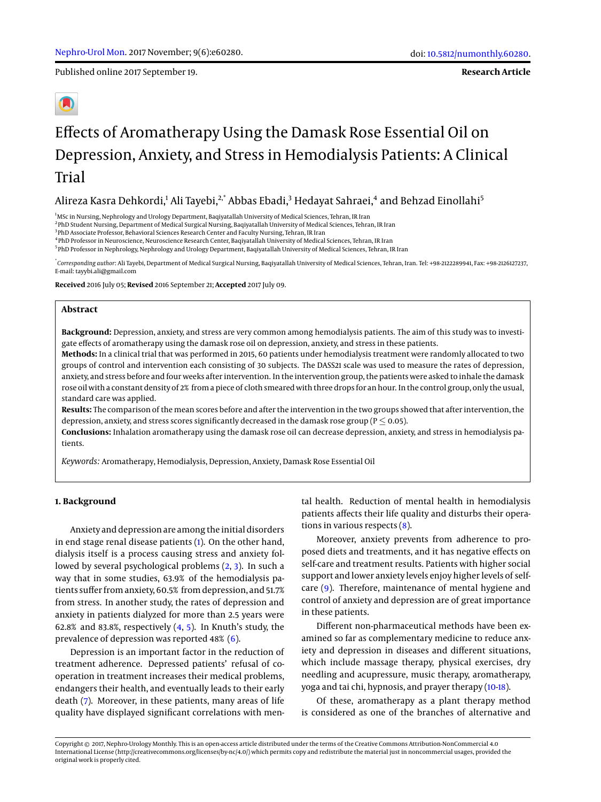Published online 2017 September 19.

**Research Article**

# Effects of Aromatherapy Using the Damask Rose Essential Oil on Depression, Anxiety, and Stress in Hemodialysis Patients: A Clinical Trial

## Alireza Kasra Dehkordi,<sup>1</sup> Ali Tayebi,<sup>2,\*</sup> Abbas Ebadi,<sup>3</sup> Hedayat Sahraei,<sup>4</sup> and Behzad Einollahi<sup>5</sup>

<sup>1</sup>MSc in Nursing, Nephrology and Urology Department, Baqiyatallah University of Medical Sciences, Tehran, IR Iran

2 PhD Student Nursing, Department of Medical Surgical Nursing, Baqiyatallah University of Medical Sciences, Tehran, IR Iran

<sup>3</sup>PhD Associate Professor, Behavioral Sciences Research Center and Faculty Nursing, Tehran, IR Iran

4 PhD Professor in Neuroscience, Neuroscience Research Center, Baqiyatallah University of Medical Sciences, Tehran, IR Iran

<sup>5</sup> PhD Professor in Nephrology, Nephrology and Urology Department, Baqiyatallah University of Medical Sciences, Tehran, IR Iran

\* *Corresponding author*: Ali Tayebi, Department of Medical Surgical Nursing, Baqiyatallah University of Medical Sciences, Tehran, Iran. Tel: +98-2122289941, Fax: +98-2126127237, E-mail: tayybi.ali@gmail.com

**Received** 2016 July 05; **Revised** 2016 September 21; **Accepted** 2017 July 09.

#### **Abstract**

**Background:** Depression, anxiety, and stress are very common among hemodialysis patients. The aim of this study was to investigate effects of aromatherapy using the damask rose oil on depression, anxiety, and stress in these patients.

**Methods:** In a clinical trial that was performed in 2015, 60 patients under hemodialysis treatment were randomly allocated to two groups of control and intervention each consisting of 30 subjects. The DASS21 scale was used to measure the rates of depression, anxiety, and stress before and four weeks after intervention. In the intervention group, the patients were asked to inhale the damask rose oil with a constant density of 2% from a piece of cloth smeared with three drops for an hour. In the control group, only the usual, standard care was applied.

**Results:** The comparison of the mean scores before and after the intervention in the two groups showed that after intervention, the depression, anxiety, and stress scores significantly decreased in the damask rose group ( $P \leq 0.05$ ).

**Conclusions:** Inhalation aromatherapy using the damask rose oil can decrease depression, anxiety, and stress in hemodialysis patients.

*Keywords:* Aromatherapy, Hemodialysis, Depression, Anxiety, Damask Rose Essential Oil

## **1. Background**

Anxiety and depression are among the initial disorders in end stage renal disease patients [\(1\)](#page-4-0). On the other hand, dialysis itself is a process causing stress and anxiety followed by several psychological problems [\(2,](#page-4-1) [3\)](#page-4-2). In such a way that in some studies, 63.9% of the hemodialysis patients suffer from anxiety, 60.5% from depression, and 51.7% from stress. In another study, the rates of depression and anxiety in patients dialyzed for more than 2.5 years were 62.8% and 83.8%, respectively  $(4, 5)$  $(4, 5)$  $(4, 5)$ . In Knuth's study, the prevalence of depression was reported 48% [\(6\)](#page-4-5).

Depression is an important factor in the reduction of treatment adherence. Depressed patients' refusal of cooperation in treatment increases their medical problems, endangers their health, and eventually leads to their early death [\(7\)](#page-4-6). Moreover, in these patients, many areas of life quality have displayed significant correlations with mental health. Reduction of mental health in hemodialysis patients affects their life quality and disturbs their operations in various respects [\(8\)](#page-4-7).

Moreover, anxiety prevents from adherence to proposed diets and treatments, and it has negative effects on self-care and treatment results. Patients with higher social support and lower anxiety levels enjoy higher levels of selfcare [\(9\)](#page-4-8). Therefore, maintenance of mental hygiene and control of anxiety and depression are of great importance in these patients.

Different non-pharmaceutical methods have been examined so far as complementary medicine to reduce anxiety and depression in diseases and different situations, which include massage therapy, physical exercises, dry needling and acupressure, music therapy, aromatherapy, yoga and tai chi, hypnosis, and prayer therapy [\(10](#page-4-9)[-18\)](#page-5-0).

Of these, aromatherapy as a plant therapy method is considered as one of the branches of alternative and

Copyright © 2017, Nephro-Urology Monthly. This is an open-access article distributed under the terms of the Creative Commons Attribution-NonCommercial 4.0 International License (http://creativecommons.org/licenses/by-nc/4.0/) which permits copy and redistribute the material just in noncommercial usages, provided the original work is properly cited.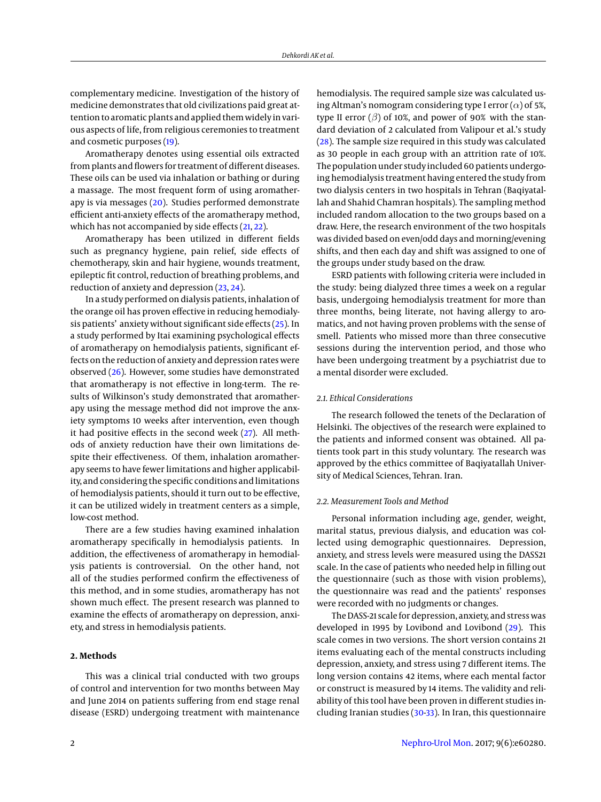complementary medicine. Investigation of the history of medicine demonstrates that old civilizations paid great attention to aromatic plants and applied them widely in various aspects of life, from religious ceremonies to treatment and cosmetic purposes [\(19\)](#page-5-1).

Aromatherapy denotes using essential oils extracted from plants and flowers for treatment of different diseases. These oils can be used via inhalation or bathing or during a massage. The most frequent form of using aromatherapy is via messages [\(20\)](#page-5-2). Studies performed demonstrate efficient anti-anxiety effects of the aromatherapy method, which has not accompanied by side effects [\(21,](#page-5-3) [22\)](#page-5-4).

Aromatherapy has been utilized in different fields such as pregnancy hygiene, pain relief, side effects of chemotherapy, skin and hair hygiene, wounds treatment, epileptic fit control, reduction of breathing problems, and reduction of anxiety and depression [\(23,](#page-5-5) [24\)](#page-5-6).

In a study performed on dialysis patients, inhalation of the orange oil has proven effective in reducing hemodialysis patients' anxiety without significant side effects [\(25\)](#page-5-7). In a study performed by Itai examining psychological effects of aromatherapy on hemodialysis patients, significant effects on the reduction of anxiety and depression rates were observed [\(26\)](#page-5-8). However, some studies have demonstrated that aromatherapy is not effective in long-term. The results of Wilkinson's study demonstrated that aromatherapy using the message method did not improve the anxiety symptoms 10 weeks after intervention, even though it had positive effects in the second week [\(27\)](#page-5-9). All methods of anxiety reduction have their own limitations despite their effectiveness. Of them, inhalation aromatherapy seems to have fewer limitations and higher applicability, and considering the specific conditions and limitations of hemodialysis patients, should it turn out to be effective, it can be utilized widely in treatment centers as a simple, low-cost method.

There are a few studies having examined inhalation aromatherapy specifically in hemodialysis patients. In addition, the effectiveness of aromatherapy in hemodialysis patients is controversial. On the other hand, not all of the studies performed confirm the effectiveness of this method, and in some studies, aromatherapy has not shown much effect. The present research was planned to examine the effects of aromatherapy on depression, anxiety, and stress in hemodialysis patients.

## **2. Methods**

This was a clinical trial conducted with two groups of control and intervention for two months between May and June 2014 on patients suffering from end stage renal disease (ESRD) undergoing treatment with maintenance

hemodialysis. The required sample size was calculated using Altman's nomogram considering type I error  $(\alpha)$  of 5%, type II error  $(\beta)$  of 10%, and power of 90% with the standard deviation of 2 calculated from Valipour et al.'s study [\(28\)](#page-5-10). The sample size required in this study was calculated as 30 people in each group with an attrition rate of 10%. The population under study included 60 patients undergoing hemodialysis treatment having entered the study from two dialysis centers in two hospitals in Tehran (Baqiyatallah and Shahid Chamran hospitals). The sampling method included random allocation to the two groups based on a draw. Here, the research environment of the two hospitals was divided based on even/odd days and morning/evening shifts, and then each day and shift was assigned to one of the groups under study based on the draw.

ESRD patients with following criteria were included in the study: being dialyzed three times a week on a regular basis, undergoing hemodialysis treatment for more than three months, being literate, not having allergy to aromatics, and not having proven problems with the sense of smell. Patients who missed more than three consecutive sessions during the intervention period, and those who have been undergoing treatment by a psychiatrist due to a mental disorder were excluded.

## *2.1. Ethical Considerations*

The research followed the tenets of the Declaration of Helsinki. The objectives of the research were explained to the patients and informed consent was obtained. All patients took part in this study voluntary. The research was approved by the ethics committee of Baqiyatallah University of Medical Sciences, Tehran. Iran.

#### *2.2. Measurement Tools and Method*

Personal information including age, gender, weight, marital status, previous dialysis, and education was collected using demographic questionnaires. Depression, anxiety, and stress levels were measured using the DASS21 scale. In the case of patients who needed help in filling out the questionnaire (such as those with vision problems), the questionnaire was read and the patients' responses were recorded with no judgments or changes.

The DASS-21 scale for depression, anxiety, and stress was developed in 1995 by Lovibond and Lovibond [\(29\)](#page-5-11). This scale comes in two versions. The short version contains 21 items evaluating each of the mental constructs including depression, anxiety, and stress using 7 different items. The long version contains 42 items, where each mental factor or construct is measured by 14 items. The validity and reliability of this tool have been proven in different studies including Iranian studies [\(30](#page-5-12)[-33\)](#page-5-13). In Iran, this questionnaire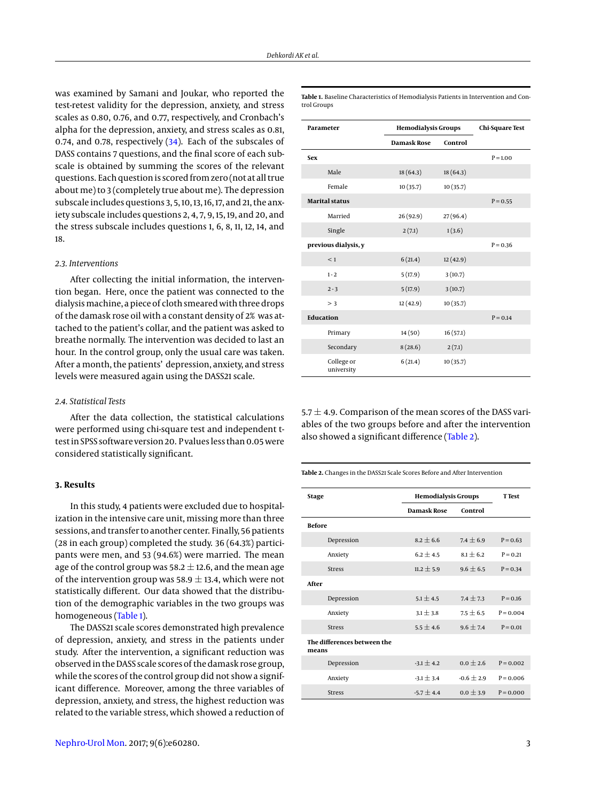was examined by Samani and Joukar, who reported the test-retest validity for the depression, anxiety, and stress scales as 0.80, 0.76, and 0.77, respectively, and Cronbach's alpha for the depression, anxiety, and stress scales as 0.81, 0.74, and 0.78, respectively [\(34\)](#page-5-14). Each of the subscales of DASS contains 7 questions, and the final score of each subscale is obtained by summing the scores of the relevant questions. Each question is scored from zero (not at all true about me) to 3 (completely true about me). The depression subscale includes questions 3, 5, 10, 13, 16, 17, and 21, the anxiety subscale includes questions 2, 4, 7, 9, 15, 19, and 20, and the stress subscale includes questions 1, 6, 8, 11, 12, 14, and 18.

#### *2.3. Interventions*

After collecting the initial information, the intervention began. Here, once the patient was connected to the dialysismachine, a piece of cloth smeared with three drops of the damask rose oil with a constant density of 2% was attached to the patient's collar, and the patient was asked to breathe normally. The intervention was decided to last an hour. In the control group, only the usual care was taken. After a month, the patients' depression, anxiety, and stress levels were measured again using the DASS21 scale.

#### *2.4. Statistical Tests*

After the data collection, the statistical calculations were performed using chi-square test and independent ttest in SPSS software version 20. P values less than 0.05 were considered statistically significant.

#### **3. Results**

In this study, 4 patients were excluded due to hospitalization in the intensive care unit, missing more than three sessions, and transfer to another center. Finally, 56 patients (28 in each group) completed the study. 36 (64.3%) participants were men, and 53 (94.6%) were married. The mean age of the control group was 58.2  $\pm$  12.6, and the mean age of the intervention group was 58.9  $\pm$  13.4, which were not statistically different. Our data showed that the distribution of the demographic variables in the two groups was homogeneous [\(Table 1\)](#page-3-0).

The DASS21 scale scores demonstrated high prevalence of depression, anxiety, and stress in the patients under study. After the intervention, a significant reduction was observed in the DASS scale scores of the damask rose group, while the scores of the control group did not show a significant difference. Moreover, among the three variables of depression, anxiety, and stress, the highest reduction was related to the variable stress, which showed a reduction of

<span id="page-3-0"></span>**Table 1.** Baseline Characteristics of Hemodialysis Patients in Intervention and Control Groups

| Parameter                | <b>Hemodialysis Groups</b> |          | <b>Chi-Square Test</b> |
|--------------------------|----------------------------|----------|------------------------|
|                          | <b>Damask Rose</b>         | Control  |                        |
| <b>Sex</b>               |                            |          | $P = 1.00$             |
| Male                     | 18(64.3)                   | 18(64.3) |                        |
| Female                   | 10(35.7)                   | 10(35.7) |                        |
| <b>Marital status</b>    |                            |          | $P = 0.55$             |
| Married                  | 26 (92.9)                  | 27(96.4) |                        |
| Single                   | 2(7.1)                     | 1(3.6)   |                        |
| previous dialysis, y     |                            |          | $P = 0.36$             |
| < 1                      | 6(21.4)                    | 12(42.9) |                        |
| $1 - 2$                  | 5(17.9)                    | 3(10.7)  |                        |
| $2 - 3$                  | 5(17.9)                    | 3(10.7)  |                        |
| > 3                      | 12(42.9)                   | 10(35.7) |                        |
| <b>Education</b>         |                            |          | $P = 0.14$             |
| Primary                  | 14(50)                     | 16(57.1) |                        |
| Secondary                | 8(28.6)                    | 2(7.1)   |                        |
| College or<br>university | 6(21.4)                    | 10(35.7) |                        |

5.7  $\pm$  4.9. Comparison of the mean scores of the DASS variables of the two groups before and after the intervention also showed a significant difference [\(Table 2\)](#page-3-1).

<span id="page-3-1"></span>**Table 2.** Changes in the DASS21 Scale Scores Before and After Intervention

| <b>Stage</b>                         | <b>Hemodialysis Groups</b> |                | <b>T</b> Test |  |
|--------------------------------------|----------------------------|----------------|---------------|--|
|                                      | Damask Rose                | Control        |               |  |
| <b>Before</b>                        |                            |                |               |  |
| Depression                           | $8.2 + 6.6$                | $7.4 \pm 6.9$  | $P = 0.63$    |  |
| Anxiety                              | $6.2 + 4.5$                | $8.1 + 6.2$    | $P = 0.21$    |  |
| <b>Stress</b>                        | $11.2 \pm 5.9$             | $9.6 \pm 6.5$  | $P = 0.34$    |  |
| After                                |                            |                |               |  |
| Depression                           | $5.1 + 4.5$                | $7.4 + 7.3$    | $P = 0.16$    |  |
| Anxiety                              | $3.1 \pm 3.8$              | $7.5 + 6.5$    | $P = 0.004$   |  |
| <b>Stress</b>                        | $5.5 + 4.6$                | $9.6 + 7.4$    | $P = 0.01$    |  |
| The differences between the<br>means |                            |                |               |  |
| Depression                           | $-3.1 \pm 4.2$             | $0.0 \pm 2.6$  | $P = 0.002$   |  |
| Anxiety                              | $-3.1 \pm 3.4$             | $-0.6 \pm 2.9$ | $P = 0.006$   |  |
| <b>Stress</b>                        | $-5.7 + 4.4$               | $0.0 + 3.9$    | $P = 0.000$   |  |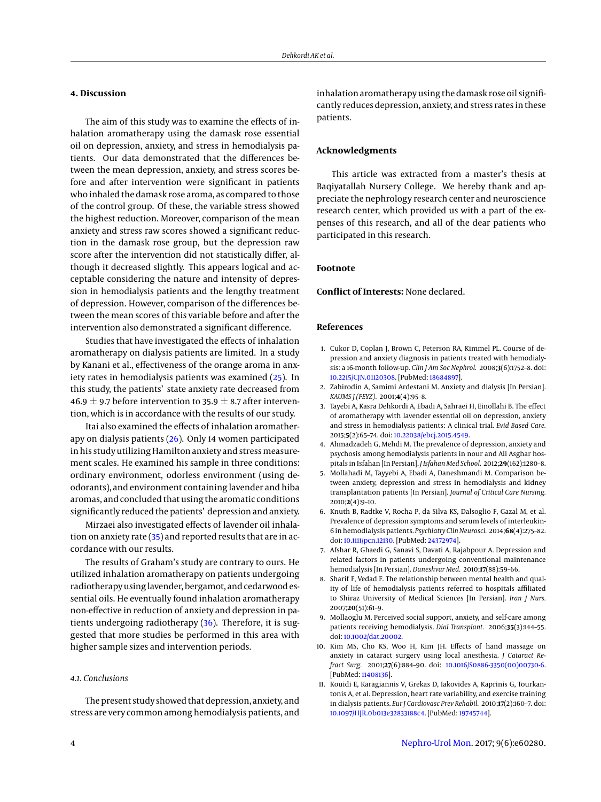## **4. Discussion**

The aim of this study was to examine the effects of inhalation aromatherapy using the damask rose essential oil on depression, anxiety, and stress in hemodialysis patients. Our data demonstrated that the differences between the mean depression, anxiety, and stress scores before and after intervention were significant in patients who inhaled the damask rose aroma, as compared to those of the control group. Of these, the variable stress showed the highest reduction. Moreover, comparison of the mean anxiety and stress raw scores showed a significant reduction in the damask rose group, but the depression raw score after the intervention did not statistically differ, although it decreased slightly. This appears logical and acceptable considering the nature and intensity of depression in hemodialysis patients and the lengthy treatment of depression. However, comparison of the differences between the mean scores of this variable before and after the intervention also demonstrated a significant difference.

Studies that have investigated the effects of inhalation aromatherapy on dialysis patients are limited. In a study by Kanani et al., effectiveness of the orange aroma in anxiety rates in hemodialysis patients was examined [\(25\)](#page-5-7). In this study, the patients' state anxiety rate decreased from 46.9  $\pm$  9.7 before intervention to 35.9  $\pm$  8.7 after intervention, which is in accordance with the results of our study.

Itai also examined the effects of inhalation aromatherapy on dialysis patients [\(26\)](#page-5-8). Only 14 women participated in his study utilizing Hamilton anxiety and stressmeasurement scales. He examined his sample in three conditions: ordinary environment, odorless environment (using deodorants), and environment containing lavender and hiba aromas, and concluded that using the aromatic conditions significantly reduced the patients' depression and anxiety.

Mirzaei also investigated effects of lavender oil inhalation on anxiety rate [\(35\)](#page-5-15) and reported results that are in accordance with our results.

The results of Graham's study are contrary to ours. He utilized inhalation aromatherapy on patients undergoing radiotherapy using lavender, bergamot, and cedarwood essential oils. He eventually found inhalation aromatherapy non-effective in reduction of anxiety and depression in patients undergoing radiotherapy [\(36\)](#page-5-16). Therefore, it is suggested that more studies be performed in this area with higher sample sizes and intervention periods.

#### *4.1. Conclusions*

The present study showed that depression, anxiety, and stress are very common among hemodialysis patients, and inhalation aromatherapy using the damask rose oil significantly reduces depression, anxiety, and stress rates in these patients.

## **Acknowledgments**

This article was extracted from a master's thesis at Baqiyatallah Nursery College. We hereby thank and appreciate the nephrology research center and neuroscience research center, which provided us with a part of the expenses of this research, and all of the dear patients who participated in this research.

## **Footnote**

## **Conflict of Interests:** None declared.

## **References**

- <span id="page-4-0"></span>1. Cukor D, Coplan J, Brown C, Peterson RA, Kimmel PL. Course of depression and anxiety diagnosis in patients treated with hemodialysis: a 16-month follow-up. *Clin J Am Soc Nephrol.* 2008;**3**(6):1752–8. doi: [10.2215/CJN.01120308.](http://dx.doi.org/10.2215/CJN.01120308) [PubMed: [18684897\]](http://www.ncbi.nlm.nih.gov/pubmed/18684897).
- <span id="page-4-1"></span>2. Zahirodin A, Samimi Ardestani M. Anxiety and dialysis [In Persian]. *KAUMS J (FEYZ).* 2001;**4**(4):95–8.
- <span id="page-4-2"></span>3. Tayebi A, Kasra Dehkordi A, Ebadi A, Sahraei H, Einollahi B. The effect of aromatherapy with lavender essential oil on depression, anxiety and stress in hemodialysis patients: A clinical trial. *Evid Based Care.* 2015;**5**(2):65–74. doi: [10.22038/ebcj.2015.4549.](http://dx.doi.org/10.22038/ebcj.2015.4549)
- <span id="page-4-3"></span>4. Ahmadzadeh G, Mehdi M. The prevalence of depression, anxiety and psychosis among hemodialysis patients in nour and Ali Asghar hospitals in Isfahan [In Persian]. *J Isfahan Med School.* 2012;**29**(162):1280–8.
- <span id="page-4-4"></span>5. Mollahadi M, Tayyebi A, Ebadi A, Daneshmandi M. Comparison between anxiety, depression and stress in hemodialysis and kidney transplantation patients [In Persian]. *Journal of Critical Care Nursing.* 2010;**2**(4):9–10.
- <span id="page-4-5"></span>6. Knuth B, Radtke V, Rocha P, da Silva KS, Dalsoglio F, Gazal M, et al. Prevalence of depression symptoms and serum levels of interleukin-6 in hemodialysis patients. *Psychiatry Clin Neurosci.* 2014;**68**(4):275–82. doi: [10.1111/pcn.12130.](http://dx.doi.org/10.1111/pcn.12130) [PubMed: [24372974\]](http://www.ncbi.nlm.nih.gov/pubmed/24372974).
- <span id="page-4-6"></span>7. Afshar R, Ghaedi G, Sanavi S, Davati A, Rajabpour A. Depression and related factors in patients undergoing conventional maintenance hemodialysis [In Persian]. *Daneshvar Med.* 2010;**17**(88):59–66.
- <span id="page-4-7"></span>8. Sharif F, Vedad F. The relationship between mental health and quality of life of hemodialysis patients referred to hospitals affiliated to Shiraz University of Medical Sciences [In Persian]. *Iran J Nurs.* 2007;**20**(51):61–9.
- <span id="page-4-8"></span>9. Mollaoglu M. Perceived social support, anxiety, and self-care among patients receiving hemodialysis. *Dial Transplant.* 2006;**35**(3):144–55. doi: [10.1002/dat.20002.](http://dx.doi.org/10.1002/dat.20002)
- <span id="page-4-9"></span>10. Kim MS, Cho KS, Woo H, Kim JH. Effects of hand massage on anxiety in cataract surgery using local anesthesia. *J Cataract Refract Surg.* 2001;**27**(6):884–90. doi: [10.1016/S0886-3350\(00\)00730-6.](http://dx.doi.org/10.1016/S0886-3350(00)00730-6) [PubMed: [11408136\]](http://www.ncbi.nlm.nih.gov/pubmed/11408136).
- 11. Kouidi E, Karagiannis V, Grekas D, Iakovides A, Kaprinis G, Tourkantonis A, et al. Depression, heart rate variability, and exercise training in dialysis patients. *Eur J Cardiovasc Prev Rehabil.* 2010;**17**(2):160–7. doi: [10.1097/HJR.0b013e32833188c4.](http://dx.doi.org/10.1097/HJR.0b013e32833188c4) [PubMed: [19745744\]](http://www.ncbi.nlm.nih.gov/pubmed/19745744).